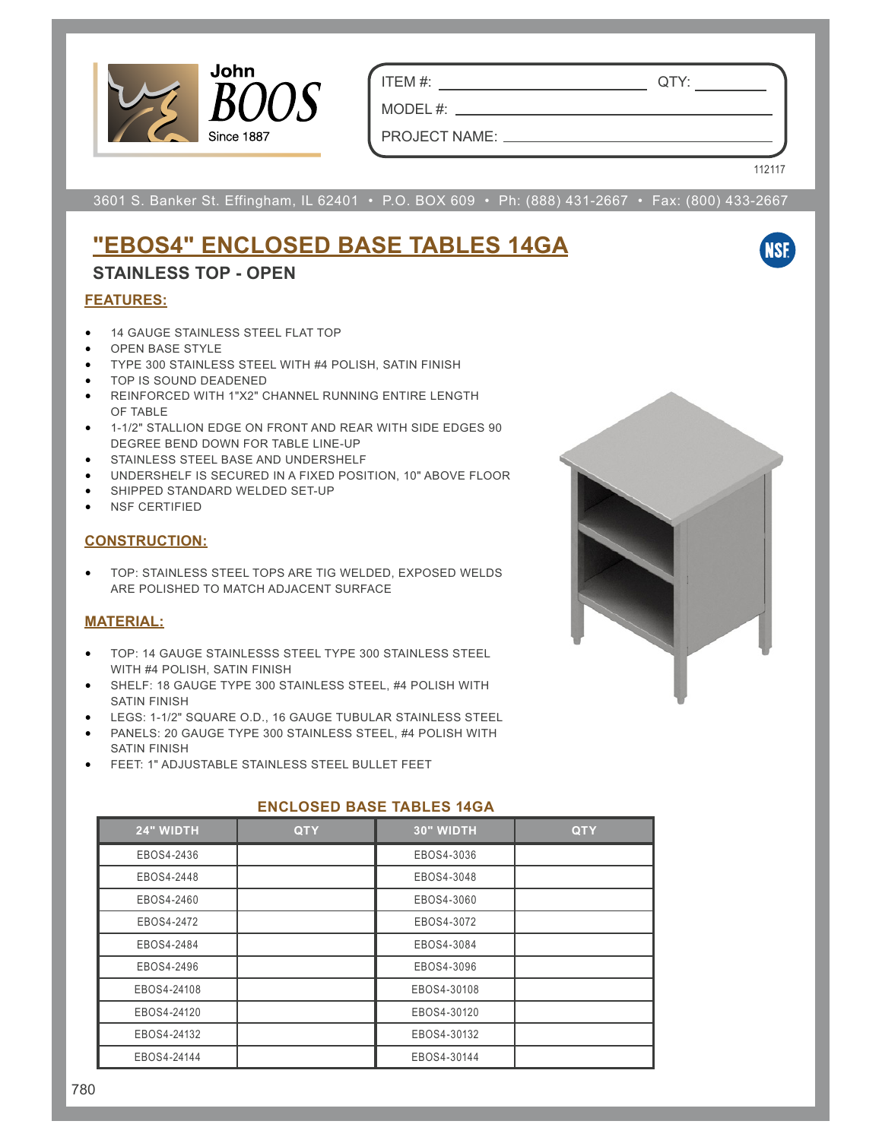

ITEM #: QTY:

PROJECT NAME:

MODEL #: \_\_\_

112117

**NSF** 

3601 S. Banker St. Effingham, IL 62401 • P.O. BOX 609 • Ph: (888) 431-2667 • Fax: (800) 433-2667

# **"EBOS4" ENCLOSED BASE TABLES 14GA**

### **STAINLESS TOP - OPEN**

#### **FEATURES:**

- 14 GAUGE STAINLESS STEEL FLAT TOP
- OPEN BASE STYLE
- TYPE 300 STAINLESS STEEL WITH #4 POLISH, SATIN FINISH
- TOP IS SOUND DEADENED
- REINFORCED WITH 1"X2" CHANNEL RUNNING ENTIRE LENGTH OF TABLE
- 1-1/2" STALLION EDGE ON FRONT AND REAR WITH SIDE EDGES 90 DEGREE BEND DOWN FOR TABLE LINE-UP
- STAINLESS STEEL BASE AND UNDERSHELF
- UNDERSHELF IS SECURED IN A FIXED POSITION, 10" ABOVE FLOOR
- SHIPPED STANDARD WELDED SET-UP
- NSF CERTIFIED

#### **CONSTRUCTION:**

• TOP: STAINLESS STEEL TOPS ARE TIG WELDED, EXPOSED WELDS ARE POLISHED TO MATCH ADJACENT SURFACE

### **MATERIAL:**

- TOP: 14 GAUGE STAINLESSS STEEL TYPE 300 STAINLESS STEEL WITH #4 POLISH, SATIN FINISH
- SHELF: 18 GAUGE TYPE 300 STAINLESS STEEL, #4 POLISH WITH SATIN FINISH
- LEGS: 1-1/2" SQUARE O.D., 16 GAUGE TUBULAR STAINLESS STEEL
- PANELS: 20 GAUGE TYPE 300 STAINLESS STEEL, #4 POLISH WITH SATIN FINISH
- FEET: 1" ADJUSTABLE STAINLESS STEEL BULLET FEET

| 24" WIDTH   | <b>QTY</b> | 30" WIDTH   | <b>QTY</b> |  |  |  |
|-------------|------------|-------------|------------|--|--|--|
| EBOS4-2436  |            | EBOS4-3036  |            |  |  |  |
| EBOS4-2448  |            | EBOS4-3048  |            |  |  |  |
| EBOS4-2460  |            | EBOS4-3060  |            |  |  |  |
| EBOS4-2472  |            | EBOS4-3072  |            |  |  |  |
| EBOS4-2484  |            | EBOS4-3084  |            |  |  |  |
| EBOS4-2496  |            | EBOS4-3096  |            |  |  |  |
| EBOS4-24108 |            | EBOS4-30108 |            |  |  |  |
| EBOS4-24120 |            | EBOS4-30120 |            |  |  |  |
| EBOS4-24132 |            | EBOS4-30132 |            |  |  |  |
| EBOS4-24144 |            | EBOS4-30144 |            |  |  |  |

### **ENCLOSED BASE TABLES 14GA**